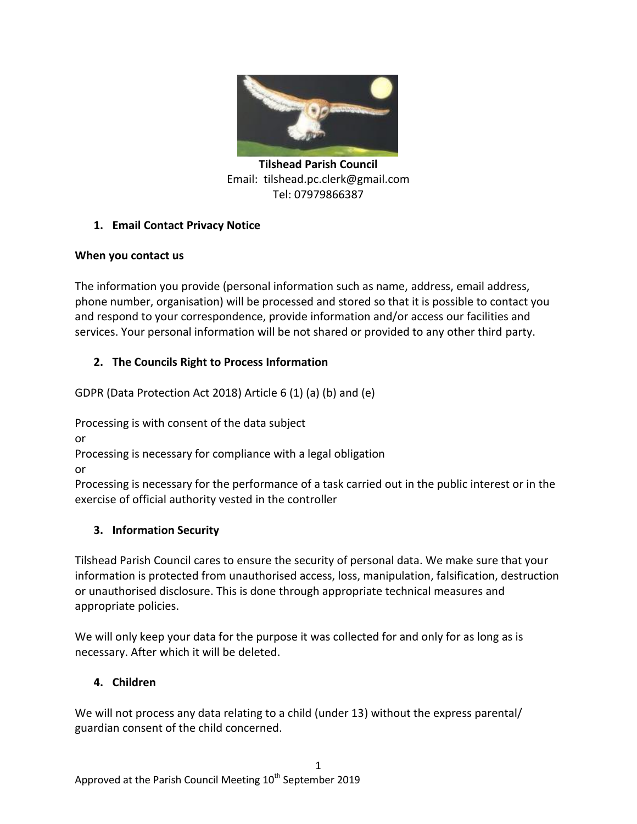

**Tilshead Parish Council** Email: tilshead.pc.clerk@gmail.com Tel: 07979866387

# **1. Email Contact Privacy Notice**

### **When you contact us**

The information you provide (personal information such as name, address, email address, phone number, organisation) will be processed and stored so that it is possible to contact you and respond to your correspondence, provide information and/or access our facilities and services. Your personal information will be not shared or provided to any other third party.

## **2. The Councils Right to Process Information**

GDPR (Data Protection Act 2018) Article 6 (1) (a) (b) and (e)

Processing is with consent of the data subject

or

Processing is necessary for compliance with a legal obligation

or

Processing is necessary for the performance of a task carried out in the public interest or in the exercise of official authority vested in the controller

# **3. Information Security**

Tilshead Parish Council cares to ensure the security of personal data. We make sure that your information is protected from unauthorised access, loss, manipulation, falsification, destruction or unauthorised disclosure. This is done through appropriate technical measures and appropriate policies.

We will only keep your data for the purpose it was collected for and only for as long as is necessary. After which it will be deleted.

# **4. Children**

We will not process any data relating to a child (under 13) without the express parental/ guardian consent of the child concerned.